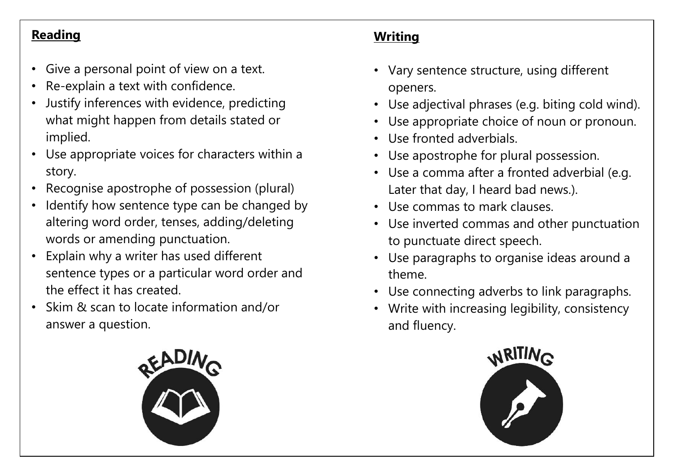## **Reading**

- Give a personal point of view on a text.
- Re-explain a text with confidence.
- Justify inferences with evidence, predicting what might happen from details stated or implied.
- Use appropriate voices for characters within a story.
- Recognise apostrophe of possession (plural)
- Identify how sentence type can be changed by altering word order, tenses, adding/deleting words or amending punctuation.
- Explain why a writer has used different sentence types or a particular word order and the effect it has created.
- Skim & scan to locate information and/or answer a question.



## **Writing**

- Vary sentence structure, using different openers.
- Use adjectival phrases (e.g. biting cold wind).
- Use appropriate choice of noun or pronoun.
- Use fronted adverbials.
- Use apostrophe for plural possession.
- Use a comma after a fronted adverbial (e.g. Later that day, I heard bad news.).
- Use commas to mark clauses.
- Use inverted commas and other punctuation to punctuate direct speech.
- Use paragraphs to organise ideas around a theme.
- Use connecting adverbs to link paragraphs.
- Write with increasing legibility, consistency and fluency.